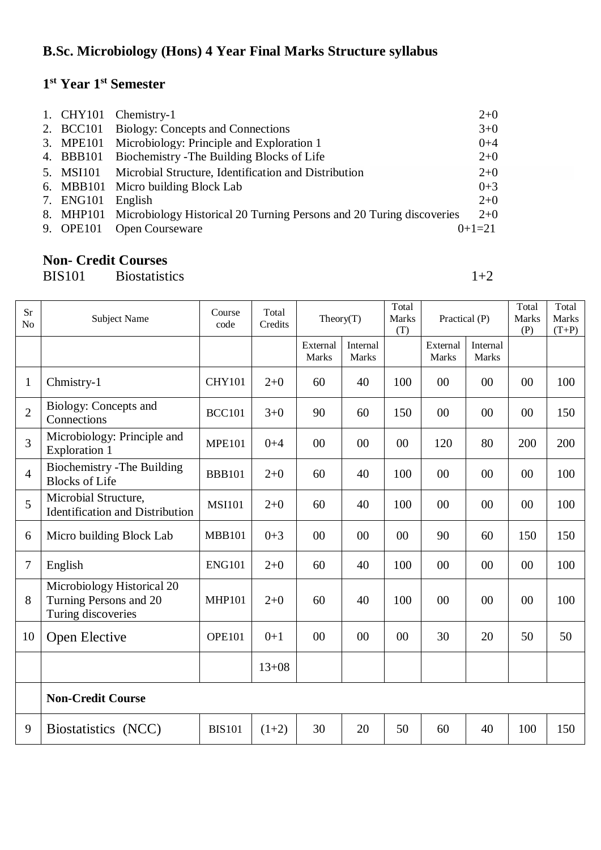# **B.Sc. Microbiology (Hons) 4 Year Final Marks Structure syllabus**

#### **1 st Year 1st Semester**

|           | 1. CHY101 Chemistry-1                                                          | $2+0$    |
|-----------|--------------------------------------------------------------------------------|----------|
|           | 2. BCC101 Biology: Concepts and Connections                                    | $3+0$    |
| 3. MPE101 | Microbiology: Principle and Exploration 1                                      | $0 + 4$  |
| 4. BBB101 | Biochemistry - The Building Blocks of Life                                     | $2+0$    |
|           | 5. MSI101 Microbial Structure, Identification and Distribution                 | $2+0$    |
|           | 6. MBB101 Micro building Block Lab                                             | $0 + 3$  |
| 7. ENG101 | English                                                                        | $2+0$    |
|           | 8. MHP101 Microbiology Historical 20 Turning Persons and 20 Turing discoveries | $2+0$    |
| 9. OPE101 | <b>Open Courseware</b>                                                         | $0+1=21$ |

# **Non- Credit Courses**

 $B$ iostatistics  $1+2$ 

| <b>Sr</b><br>N <sub>o</sub> | Subject Name                                                               | Course<br>code | Total<br>Credits |                          | Theory(T)                |     | Practical (P)            |                          | Total<br>Marks<br>(P) | Total<br><b>Marks</b><br>$(T+P)$ |
|-----------------------------|----------------------------------------------------------------------------|----------------|------------------|--------------------------|--------------------------|-----|--------------------------|--------------------------|-----------------------|----------------------------------|
|                             |                                                                            |                |                  | External<br><b>Marks</b> | Internal<br><b>Marks</b> |     | External<br><b>Marks</b> | Internal<br><b>Marks</b> |                       |                                  |
| $\mathbf{1}$                | Chmistry-1                                                                 | <b>CHY101</b>  | $2 + 0$          | 60                       | 40                       | 100 | 00                       | 00                       | 00                    | 100                              |
| $\overline{2}$              | Biology: Concepts and<br>Connections                                       | <b>BCC101</b>  | $3 + 0$          | 90                       | 60                       | 150 | $00\,$                   | $00\,$                   | 00                    | 150                              |
| 3                           | Microbiology: Principle and<br><b>Exploration 1</b>                        | <b>MPE101</b>  | $0 + 4$          | 00                       | 00                       | 00  | 120                      | 80                       | 200                   | 200                              |
| $\overline{4}$              | <b>Biochemistry - The Building</b><br><b>Blocks of Life</b>                | <b>BBB101</b>  | $2 + 0$          | 60                       | 40                       | 100 | 00                       | 00                       | 00                    | 100                              |
| 5                           | Microbial Structure,<br><b>Identification and Distribution</b>             | <b>MSI101</b>  | $2 + 0$          | 60                       | 40                       | 100 | 00                       | 00                       | 00                    | 100                              |
| 6                           | Micro building Block Lab                                                   | <b>MBB101</b>  | $0 + 3$          | 00                       | 00                       | 00  | 90                       | 60                       | 150                   | 150                              |
| $\overline{7}$              | English                                                                    | <b>ENG101</b>  | $2 + 0$          | 60                       | 40                       | 100 | 00                       | 00                       | 00                    | 100                              |
| 8                           | Microbiology Historical 20<br>Turning Persons and 20<br>Turing discoveries | <b>MHP101</b>  | $2 + 0$          | 60                       | 40                       | 100 | 00                       | 00                       | 00                    | 100                              |
| 10                          | Open Elective                                                              | <b>OPE101</b>  | $0+1$            | 00                       | 00                       | 00  | 30                       | 20                       | 50                    | 50                               |
|                             |                                                                            |                | $13 + 08$        |                          |                          |     |                          |                          |                       |                                  |
|                             | <b>Non-Credit Course</b>                                                   |                |                  |                          |                          |     |                          |                          |                       |                                  |
| 9                           | Biostatistics (NCC)                                                        | <b>BIS101</b>  | $(1+2)$          | 30                       | 20                       | 50  | 60                       | 40                       | 100                   | 150                              |
|                             |                                                                            |                |                  |                          |                          |     |                          |                          |                       |                                  |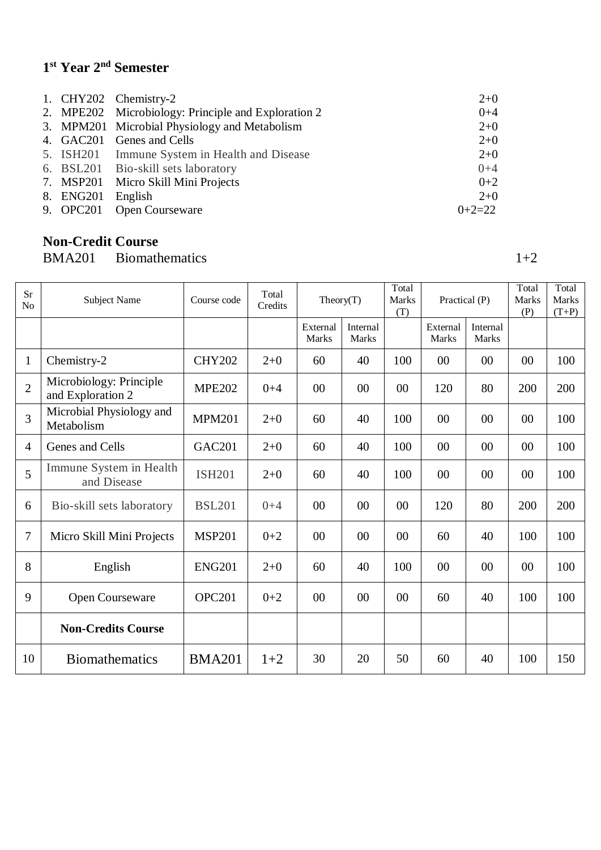#### **1 st Year 2nd Semester**

|                   | 1. CHY202 Chemistry-2                               | $2+0$    |
|-------------------|-----------------------------------------------------|----------|
|                   | 2. MPE202 Microbiology: Principle and Exploration 2 | $0 + 4$  |
|                   | 3. MPM201 Microbial Physiology and Metabolism       | $2+0$    |
|                   | 4. GAC201 Genes and Cells                           | $2+0$    |
|                   | 5. ISH201 Immune System in Health and Disease       | $2+0$    |
|                   | 6. BSL201 Bio-skill sets laboratory                 | $0+4$    |
|                   | 7. MSP201 Micro Skill Mini Projects                 | $0+2$    |
| 8. ENG201 English |                                                     | $2+0$    |
|                   | 9. OPC201 Open Courseware                           | $0+2=22$ |

## **Non-Credit Course**

# BMA201 Biomathematics 1+2

| <b>Sr</b><br>N <sub>0</sub> | <b>Subject Name</b>                          | Course code   | Total<br>Credits | Theory(T)                |                          | Total<br><b>Marks</b><br>(T) | Practical (P)            |                          | Total<br>Marks<br>(P) | Total<br>Marks<br>$(T+P)$ |
|-----------------------------|----------------------------------------------|---------------|------------------|--------------------------|--------------------------|------------------------------|--------------------------|--------------------------|-----------------------|---------------------------|
|                             |                                              |               |                  | External<br><b>Marks</b> | Internal<br><b>Marks</b> |                              | External<br><b>Marks</b> | Internal<br><b>Marks</b> |                       |                           |
| $\mathbf{1}$                | Chemistry-2                                  | <b>CHY202</b> | $2 + 0$          | 60                       | 40                       | 100                          | 00                       | $00\,$                   | $00\,$                | 100                       |
| $\overline{2}$              | Microbiology: Principle<br>and Exploration 2 | <b>MPE202</b> | $0 + 4$          | 00                       | 00                       | 00                           | 120                      | 80                       | 200                   | 200                       |
| 3                           | Microbial Physiology and<br>Metabolism       | <b>MPM201</b> | $2 + 0$          | 60                       | 40                       | 100                          | 00                       | $00\,$                   | 00                    | 100                       |
| $\overline{4}$              | Genes and Cells                              | <b>GAC201</b> | $2+0$            | 60                       | 40                       | 100                          | 00                       | $00\,$                   | 00                    | 100                       |
| 5                           | Immune System in Health<br>and Disease       | <b>ISH201</b> | $2 + 0$          | 60                       | 40                       | 100                          | 00                       | $00\,$                   | 00                    | 100                       |
| 6                           | Bio-skill sets laboratory                    | <b>BSL201</b> | $0 + 4$          | 00                       | 00                       | 00                           | 120                      | 80                       | 200                   | 200                       |
| $\tau$                      | Micro Skill Mini Projects                    | <b>MSP201</b> | $0 + 2$          | 00                       | 00                       | 00                           | 60                       | 40                       | 100                   | 100                       |
| 8                           | English                                      | <b>ENG201</b> | $2 + 0$          | 60                       | 40                       | 100                          | 00                       | $00\,$                   | $00\,$                | 100                       |
| 9                           | Open Courseware                              | <b>OPC201</b> | $0 + 2$          | 00                       | 00                       | 00                           | 60                       | 40                       | 100                   | 100                       |
|                             | <b>Non-Credits Course</b>                    |               |                  |                          |                          |                              |                          |                          |                       |                           |
| 10                          | <b>Biomathematics</b>                        | <b>BMA201</b> | $1+2$            | 30                       | 20                       | 50                           | 60                       | 40                       | 100                   | 150                       |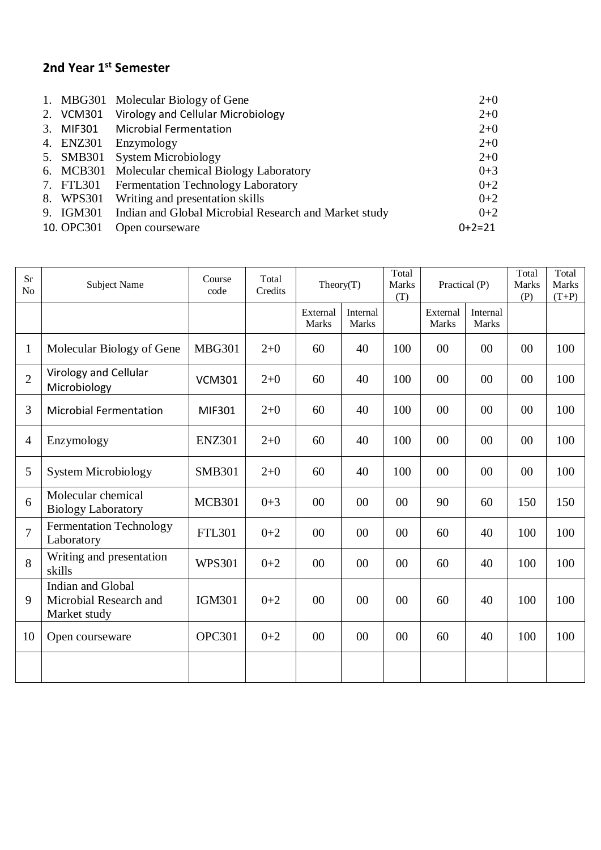# **2nd Year 1st Semester**

|            | 1. MBG301 Molecular Biology of Gene                   | $2+0$    |
|------------|-------------------------------------------------------|----------|
|            | 2. VCM301 Virology and Cellular Microbiology          | $2+0$    |
|            | 3. MIF301 Microbial Fermentation                      | $2+0$    |
|            | 4. ENZ301 Enzymology                                  | $2+0$    |
| 5. SMB301  | <b>System Microbiology</b>                            | $2+0$    |
|            | 6. MCB301 Molecular chemical Biology Laboratory       | $0 + 3$  |
|            | 7. FTL301 Fermentation Technology Laboratory          | $0 + 2$  |
|            | 8. WPS301 Writing and presentation skills             | $0 + 2$  |
| 9. IGM301  | Indian and Global Microbial Research and Market study | $0 + 2$  |
| 10. OPC301 | Open courseware                                       | $0+2=21$ |

| <b>Sr</b><br>N <sub>o</sub> | <b>Subject Name</b>                                         | Course<br>code | Total<br>Credits | Theory(T)         |                          | Total<br><b>Marks</b><br>(T) | Practical (P)            |                          | Total<br>Marks<br>(P) | Total<br>Marks<br>$(T+P)$ |
|-----------------------------|-------------------------------------------------------------|----------------|------------------|-------------------|--------------------------|------------------------------|--------------------------|--------------------------|-----------------------|---------------------------|
|                             |                                                             |                |                  | External<br>Marks | Internal<br><b>Marks</b> |                              | External<br><b>Marks</b> | Internal<br><b>Marks</b> |                       |                           |
| 1                           | Molecular Biology of Gene                                   | <b>MBG301</b>  | $2 + 0$          | 60                | 40                       | 100                          | 00                       | 00                       | 00                    | 100                       |
| $\overline{2}$              | Virology and Cellular<br>Microbiology                       | <b>VCM301</b>  | $2 + 0$          | 60                | 40                       | 100                          | 00                       | $00\,$                   | 00                    | 100                       |
| 3                           | <b>Microbial Fermentation</b>                               | MIF301         | $2 + 0$          | 60                | 40                       | 100                          | 00                       | 00                       | 00                    | 100                       |
| $\overline{4}$              | Enzymology                                                  | <b>ENZ301</b>  | $2 + 0$          | 60                | 40                       | 100                          | 00                       | 00                       | 00                    | 100                       |
| 5                           | <b>System Microbiology</b>                                  | <b>SMB301</b>  | $2 + 0$          | 60                | 40                       | 100                          | 00                       | 00                       | 00                    | 100                       |
| 6                           | Molecular chemical<br><b>Biology Laboratory</b>             | <b>MCB301</b>  | $0 + 3$          | 00                | 00                       | 00                           | 90                       | 60                       | 150                   | 150                       |
| $\overline{7}$              | <b>Fermentation Technology</b><br>Laboratory                | <b>FTL301</b>  | $0 + 2$          | $00\,$            | 00                       | 00                           | 60                       | 40                       | 100                   | 100                       |
| 8                           | Writing and presentation<br>skills                          | <b>WPS301</b>  | $0 + 2$          | 00                | 00                       | 00                           | 60                       | 40                       | 100                   | 100                       |
| 9                           | Indian and Global<br>Microbial Research and<br>Market study | <b>IGM301</b>  | $0 + 2$          | $00\,$            | 00                       | 00                           | 60                       | 40                       | 100                   | 100                       |
| 10                          | Open courseware                                             | <b>OPC301</b>  | $0 + 2$          | 00                | 00                       | 00                           | 60                       | 40                       | 100                   | 100                       |
|                             |                                                             |                |                  |                   |                          |                              |                          |                          |                       |                           |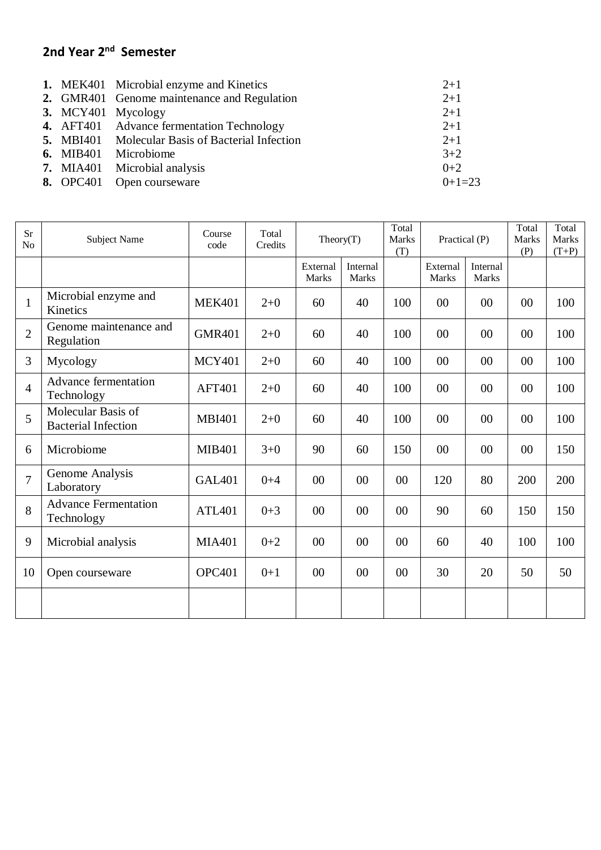#### **2nd Year 2 nd Semester**

|                  | 1. MEK401 Microbial enzyme and Kinetics                 | $2 + 1$  |
|------------------|---------------------------------------------------------|----------|
|                  | 2. GMR401 Genome maintenance and Regulation             | $2+1$    |
|                  | 3. MCY401 Mycology                                      | $2+1$    |
|                  | 4. AFT401 Advance fermentation Technology               | $2+1$    |
|                  | <b>5.</b> MBI401 Molecular Basis of Bacterial Infection | $2+1$    |
| <b>6.</b> MIB401 | Microbiome                                              | $3 + 2$  |
|                  | 7. MIA401 Microbial analysis                            | $0+2$    |
| <b>8.</b> OPC401 | Open courseware                                         | $0+1=23$ |
|                  |                                                         |          |

| <b>Sr</b><br>N <sub>o</sub> | <b>Subject Name</b>                              | Course<br>code | Total<br>Credits | Theory(T)                |                          | Total<br>Marks<br>(T) | Practical (P)            |                          | Total<br><b>Marks</b><br>(P) | Total<br><b>Marks</b><br>$(T+P)$ |
|-----------------------------|--------------------------------------------------|----------------|------------------|--------------------------|--------------------------|-----------------------|--------------------------|--------------------------|------------------------------|----------------------------------|
|                             |                                                  |                |                  | External<br><b>Marks</b> | Internal<br><b>Marks</b> |                       | External<br><b>Marks</b> | Internal<br><b>Marks</b> |                              |                                  |
| $\mathbf{1}$                | Microbial enzyme and<br>Kinetics                 | <b>MEK401</b>  | $2 + 0$          | 60                       | 40                       | 100                   | $00\,$                   | 00                       | 00                           | 100                              |
| $\overline{2}$              | Genome maintenance and<br>Regulation             | <b>GMR401</b>  | $2 + 0$          | 60                       | 40                       | 100                   | 00                       | 00                       | 00                           | 100                              |
| 3                           | Mycology                                         | <b>MCY401</b>  | $2 + 0$          | 60                       | 40                       | 100                   | 00                       | 00                       | 00                           | 100                              |
| $\overline{4}$              | <b>Advance fermentation</b><br>Technology        | <b>AFT401</b>  | $2 + 0$          | 60                       | 40                       | 100                   | 00                       | 00                       | 00                           | 100                              |
| 5                           | Molecular Basis of<br><b>Bacterial Infection</b> | <b>MBI401</b>  | $2 + 0$          | 60                       | 40                       | 100                   | 00                       | 00                       | 00                           | 100                              |
| 6                           | Microbiome                                       | <b>MIB401</b>  | $3 + 0$          | 90                       | 60                       | 150                   | 00                       | 00                       | 00                           | 150                              |
| $\overline{7}$              | Genome Analysis<br>Laboratory                    | <b>GAL401</b>  | $0 + 4$          | 00                       | 00                       | 00                    | 120                      | 80                       | 200                          | 200                              |
| 8                           | <b>Advance Fermentation</b><br>Technology        | <b>ATL401</b>  | $0 + 3$          | 00                       | 00                       | 00                    | 90                       | 60                       | 150                          | 150                              |
| 9                           | Microbial analysis                               | <b>MIA401</b>  | $0 + 2$          | 00                       | 00                       | 00                    | 60                       | 40                       | 100                          | 100                              |
| 10                          | Open courseware                                  | <b>OPC401</b>  | $0+1$            | 00                       | 00                       | 00                    | 30                       | 20                       | 50                           | 50                               |
|                             |                                                  |                |                  |                          |                          |                       |                          |                          |                              |                                  |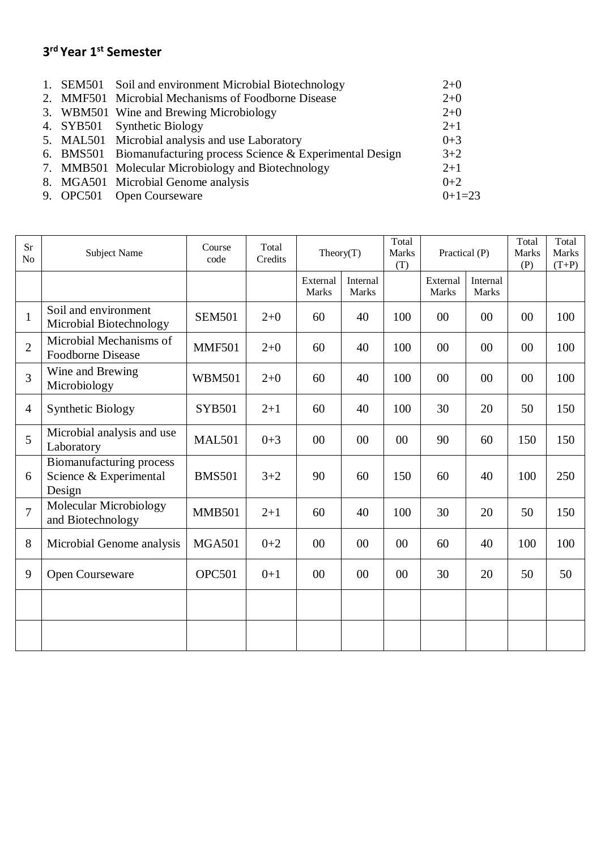### **3 rd Year 1st Semester**

|  | 1. SEM501 Soil and environment Microbial Biotechnology           | $2+0$    |
|--|------------------------------------------------------------------|----------|
|  | 2. MMF501 Microbial Mechanisms of Foodborne Disease              | $2+0$    |
|  | 3. WBM501 Wine and Brewing Microbiology                          | $2+0$    |
|  | 4. SYB501 Synthetic Biology                                      | $2+1$    |
|  | 5. MAL501 Microbial analysis and use Laboratory                  | $0 + 3$  |
|  | 6. BMS501 Biomanufacturing process Science & Experimental Design | $3 + 2$  |
|  | 7. MMB501 Molecular Microbiology and Biotechnology               | $2 + 1$  |
|  | 8. MGA501 Microbial Genome analysis                              | $0 + 2$  |
|  | 9. OPC501 Open Courseware                                        | $0+1=23$ |

| <b>Sr</b><br>No | <b>Subject Name</b>                                                 | Course<br>code | Total<br>Credits | Theory(T)         |                          | Total<br><b>Marks</b><br>(T) | Practical (P)            |                          | Total<br>Marks<br>(P) | Total<br><b>Marks</b><br>$(T+P)$ |
|-----------------|---------------------------------------------------------------------|----------------|------------------|-------------------|--------------------------|------------------------------|--------------------------|--------------------------|-----------------------|----------------------------------|
|                 |                                                                     |                |                  | External<br>Marks | Internal<br><b>Marks</b> |                              | External<br><b>Marks</b> | Internal<br><b>Marks</b> |                       |                                  |
| $\mathbf{1}$    | Soil and environment<br>Microbial Biotechnology                     | <b>SEM501</b>  | $2 + 0$          | 60                | 40                       | 100                          | 00                       | 00                       | 00                    | 100                              |
| $\overline{2}$  | Microbial Mechanisms of<br><b>Foodborne Disease</b>                 | <b>MMF501</b>  | $2 + 0$          | 60                | 40                       | 100                          | 00                       | 00                       | $00\,$                | 100                              |
| $\overline{3}$  | Wine and Brewing<br>Microbiology                                    | <b>WBM501</b>  | $2 + 0$          | 60                | 40                       | 100                          | 00                       | 00                       | 00                    | 100                              |
| $\overline{4}$  | Synthetic Biology                                                   | <b>SYB501</b>  | $2 + 1$          | 60                | 40                       | 100                          | 30                       | 20                       | 50                    | 150                              |
| 5               | Microbial analysis and use<br>Laboratory                            | <b>MAL501</b>  | $0 + 3$          | 00                | 00                       | 00                           | 90                       | 60                       | 150                   | 150                              |
| 6               | <b>Biomanufacturing process</b><br>Science & Experimental<br>Design | <b>BMS501</b>  | $3 + 2$          | 90                | 60                       | 150                          | 60                       | 40                       | 100                   | 250                              |
| $\overline{7}$  | Molecular Microbiology<br>and Biotechnology                         | <b>MMB501</b>  | $2+1$            | 60                | 40                       | 100                          | 30                       | 20                       | 50                    | 150                              |
| 8               | Microbial Genome analysis                                           | <b>MGA501</b>  | $0 + 2$          | $00\,$            | 00                       | 00                           | 60                       | 40                       | 100                   | 100                              |
| 9               | Open Courseware                                                     | <b>OPC501</b>  | $0+1$            | $00\,$            | 00                       | 00                           | 30                       | 20                       | 50                    | 50                               |
|                 |                                                                     |                |                  |                   |                          |                              |                          |                          |                       |                                  |
|                 |                                                                     |                |                  |                   |                          |                              |                          |                          |                       |                                  |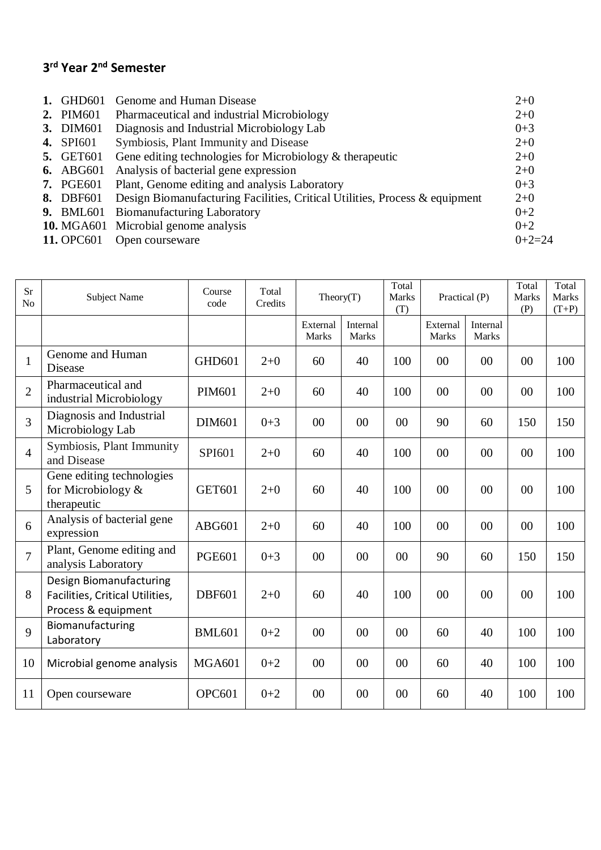#### **3 rd Year 2nd Semester**

| GHD601 | Genome and Human Disease                                                                                                                                                          | $2+0$                                                                             |
|--------|-----------------------------------------------------------------------------------------------------------------------------------------------------------------------------------|-----------------------------------------------------------------------------------|
|        | Pharmaceutical and industrial Microbiology                                                                                                                                        | $2+0$                                                                             |
|        | Diagnosis and Industrial Microbiology Lab                                                                                                                                         | $0 + 3$                                                                           |
|        | Symbiosis, Plant Immunity and Disease                                                                                                                                             | $2+0$                                                                             |
|        | Gene editing technologies for Microbiology $\&$ therapeutic                                                                                                                       | $2+0$                                                                             |
|        | Analysis of bacterial gene expression                                                                                                                                             | $2+0$                                                                             |
|        | Plant, Genome editing and analysis Laboratory                                                                                                                                     | $0 + 3$                                                                           |
|        | Design Biomanufacturing Facilities, Critical Utilities, Process & equipment                                                                                                       | $2+0$                                                                             |
|        |                                                                                                                                                                                   | $0+2$                                                                             |
|        |                                                                                                                                                                                   | $0+2$                                                                             |
|        | Open courseware                                                                                                                                                                   | $0+2=24$                                                                          |
|        | <b>2.</b> PIM601<br><b>3.</b> DIM601<br><b>4.</b> SPI601<br><b>5.</b> GET601<br><b>6.</b> ABG601<br><b>7.</b> PGE601<br><b>8.</b> DBF601<br><b>9. BML601</b><br><b>11. OPC601</b> | <b>Biomanufacturing Laboratory</b><br><b>10.</b> MGA601 Microbial genome analysis |

| <b>Sr</b><br>No | <b>Subject Name</b>                                                               | Course<br>code | Total<br>Credits | Theory(T)         |                   | Total<br>Marks<br>(T) | Practical (P)            |                          | Total<br>Marks<br>(P) | Total<br><b>Marks</b><br>$(T+P)$ |
|-----------------|-----------------------------------------------------------------------------------|----------------|------------------|-------------------|-------------------|-----------------------|--------------------------|--------------------------|-----------------------|----------------------------------|
|                 |                                                                                   |                |                  | External<br>Marks | Internal<br>Marks |                       | External<br><b>Marks</b> | Internal<br><b>Marks</b> |                       |                                  |
| $\mathbf{1}$    | Genome and Human<br>Disease                                                       | GHD601         | $2 + 0$          | 60                | 40                | 100                   | 00                       | 00                       | 00                    | 100                              |
| $\overline{2}$  | Pharmaceutical and<br>industrial Microbiology                                     | <b>PIM601</b>  | $2 + 0$          | 60                | 40                | 100                   | 00                       | 00                       | 00                    | 100                              |
| $\overline{3}$  | Diagnosis and Industrial<br>Microbiology Lab                                      | <b>DIM601</b>  | $0 + 3$          | $00\,$            | 00                | 00                    | 90                       | 60                       | 150                   | 150                              |
| $\overline{4}$  | Symbiosis, Plant Immunity<br>and Disease                                          | SPI601         | $2+0$            | 60                | 40                | 100                   | 00                       | 00                       | 00                    | 100                              |
| 5               | Gene editing technologies<br>for Microbiology &<br>therapeutic                    | <b>GET601</b>  | $2 + 0$          | 60                | 40                | 100                   | 00                       | 00                       | 00                    | 100                              |
| 6               | Analysis of bacterial gene<br>expression                                          | ABG601         | $2 + 0$          | 60                | 40                | 100                   | 00                       | 00                       | 00                    | 100                              |
| $\overline{7}$  | Plant, Genome editing and<br>analysis Laboratory                                  | <b>PGE601</b>  | $0 + 3$          | 00                | 00                | 00                    | 90                       | 60                       | 150                   | 150                              |
| 8               | Design Biomanufacturing<br>Facilities, Critical Utilities,<br>Process & equipment | <b>DBF601</b>  | $2 + 0$          | 60                | 40                | 100                   | 00                       | 00                       | 00                    | 100                              |
| 9               | Biomanufacturing<br>Laboratory                                                    | <b>BML601</b>  | $0 + 2$          | $00\,$            | 00                | 00                    | 60                       | 40                       | 100                   | 100                              |
| 10              | Microbial genome analysis                                                         | <b>MGA601</b>  | $0 + 2$          | 00                | 00                | 00                    | 60                       | 40                       | 100                   | 100                              |
| 11              | Open courseware                                                                   | <b>OPC601</b>  | $0 + 2$          | $00\,$            | 00                | 00                    | 60                       | 40                       | 100                   | 100                              |